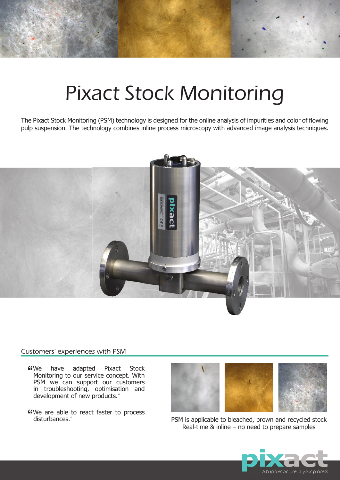# Pixact Stock Monitoring

The Pixact Stock Monitoring (PSM) technology is designed for the online analysis of impurities and color of flowing pulp suspension. The technology combines inline process microscopy with advanced image analysis techniques.



#### Customers' experiences with PSM

- " have adapted Pixact Stock Monitoring to our service concept. With PSM we can support our customers in troubleshooting, optimisation and development of new products."
- We are able to react faster to process disturbances." disturbances."



PSM is applicable to bleached, brown and recycled stock Real-time & inline – no need to prepare samples